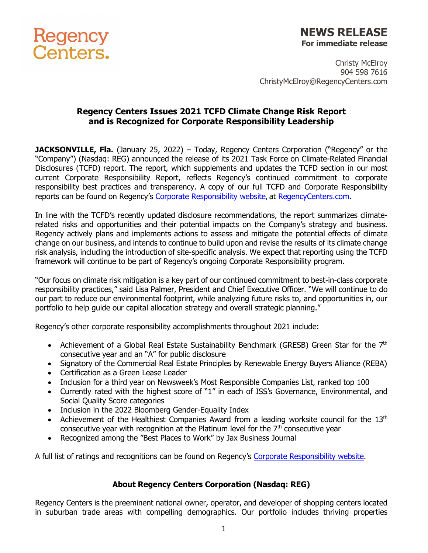

## **NEWS RELEASE For immediate release**

Christy McElroy 904 598 7616 ChristyMcElroy@RegencyCenters.com

## **Regency Centers Issues 2021 TCFD Climate Change Risk Report and is Recognized for Corporate Responsibility Leadership**

**JACKSONVILLE, Fla.** (January 25, 2022) – Today, Regency Centers Corporation ("Regency" or the "Company") (Nasdaq: REG) announced the release of its 2021 Task Force on Climate-Related Financial Disclosures (TCFD) report. The report, which supplements and updates the TCFD section in our most current Corporate Responsibility Report, reflects Regency's continued commitment to corporate responsibility best practices and transparency. A copy of our full TCFD and Corporate Responsibility reports can be found on Regency's [Corporate Responsibility website](https://www.regencycenters.com/corporate-responsibility), at [RegencyCenters.com.](https://www.regencycenters.com/)

In line with the TCFD's recently updated disclosure recommendations, the report summarizes climaterelated risks and opportunities and their potential impacts on the Company's strategy and business. Regency actively plans and implements actions to assess and mitigate the potential effects of climate change on our business, and intends to continue to build upon and revise the results of its climate change risk analysis, including the introduction of site-specific analysis. We expect that reporting using the TCFD framework will continue to be part of Regency's ongoing Corporate Responsibility program.

"Our focus on climate risk mitigation is a key part of our continued commitment to best-in-class corporate responsibility practices," said Lisa Palmer, President and Chief Executive Officer. "We will continue to do our part to reduce our environmental footprint, while analyzing future risks to, and opportunities in, our portfolio to help guide our capital allocation strategy and overall strategic planning."

Regency's other corporate responsibility accomplishments throughout 2021 include:

- Achievement of a Global Real Estate Sustainability Benchmark (GRESB) Green Star for the  $7<sup>th</sup>$ consecutive year and an "A" for public disclosure
- Signatory of the Commercial Real Estate Principles by Renewable Energy Buyers Alliance (REBA)
- Certification as a Green Lease Leader
- Inclusion for a third year on Newsweek's Most Responsible Companies List, ranked top 100
- Currently rated with the highest score of "1" in each of ISS's Governance, Environmental, and Social Quality Score categories
- Inclusion in the 2022 Bloomberg Gender-Equality Index
- Achievement of the Healthiest Companies Award from a leading worksite council for the  $13<sup>th</sup>$ consecutive year with recognition at the Platinum level for the  $7<sup>th</sup>$  consecutive year
- Recognized among the "Best Places to Work" by Jax Business Journal

A full list of ratings and recognitions can be found on Regency's [Corporate Responsibility website.](https://www.regencycenters.com/corporate-responsibility)

## **About Regency Centers Corporation (Nasdaq: REG)**

Regency Centers is the preeminent national owner, operator, and developer of shopping centers located in suburban trade areas with compelling demographics. Our portfolio includes thriving properties